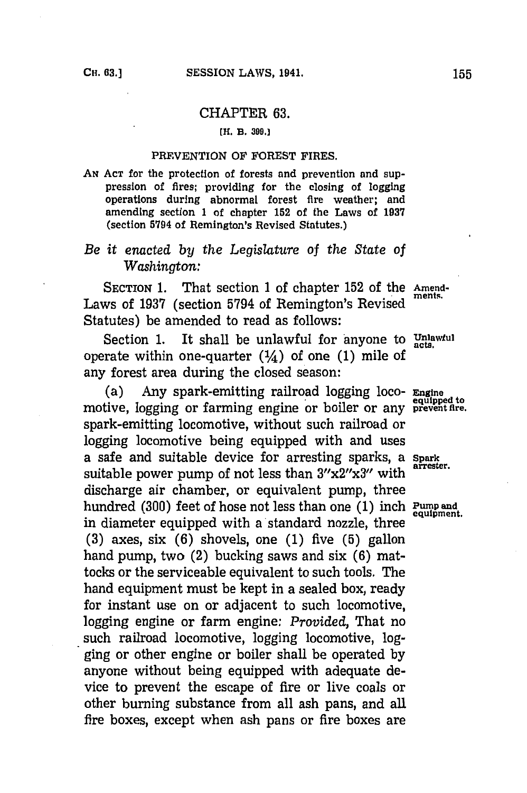### CHAPTER **63.**

#### **[H. B. 399.]**

#### PREVENTION OF FOREST FIRES.

AN Acr for the protection of forests and prevention and suppression of fires; providing for the closing of logging operations during abnormal forest fire weather; and amending section **1** of chapter **152** of the Laws of **1937** (section **5794** of Remington's Revised Statutes.)

# *Be it enacted by the Legislature* of *the State of*  $W$ *ashington:*

SECTION 1. That section 1 of chapter 152 of the Amend-Laws of 1937 (section 5794 of Remington's Revised Statutes) be amended to read as follows:

Section 1. It shall be unlawful for anyone to Unlawful operate within one-quarter  $(1/4)$  of one (1) mile of any forest area during the closed season:

(a) Any spark-emitting railroad logging loco- **Engine** motive, logging or farming engine or boiler or any **prevent fire.** spark-emitting locomotive, without such railroad or logging locomotive being equipped with and uses a safe and suitable device for arresting sparks, a **Spark** suitable power pump of not less than  $3''x2''x3''$  with discharge air chamber, or equivalent pump, three hundred **(300)** feet of hose not less than one **(1)** inch **Pump** and in diameter equipped with a standard nozzle, three **(3)** axes, six **(6)** shovels, one **(1)** five **(5)** gallon hand pump, two (2) bucking saws and six **(6)** mattocks or the serviceable equivalent to such tools. The hand equipment must be kept in a sealed box, ready for instant use on or adjacent to such locomotive, logging engine or farm engine: *Provided,* That no such railroad locomotive, logging locomotive, logging or other engine or boiler shall be operated **by** anyone without being equipped with adequate device to prevent the escape of fire or live coals or other burning substance from all ash pans, and all fire boxes, except when ash pans or fire boxes are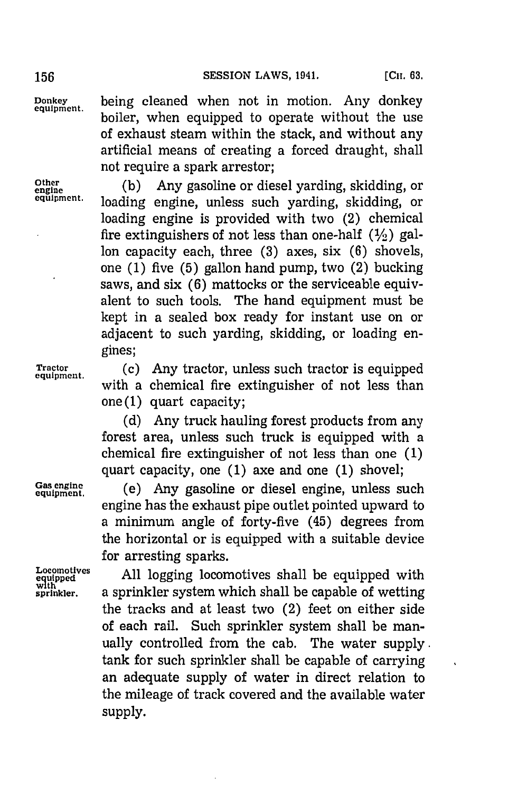**Donkey being cleaned when not in motion. Any donkey equipment.** boiler, when equipped to operate without the use of exhaust steam within the stack, and without any artificial means of creating a forced draught, shall not require a spark arrestor;

Other (b) Any gasoline or diesel yarding, skidding, or equine the conditional or equipment. loading engine, unless such yarding, skidding, or loading engine is provided with two (2) chemical fire extinguishers of not less than one-half  $(1/2)$  gallon capacity each, three **(3)** axes, six **(6)** shovels, one **(1)** five **(5)** gallon hand pump, two (2) bucking saws, and six **(6)** mattocks or the serviceable equivalent to such tools. The hand equipment must be kept in a sealed box ready for instant use on or adjacent to such yarding, skidding, or loading engines;

Tractor (c) Any tractor, unless such tractor is equipped with a chemical fire extinguisher of not less than one **(1)** quart capacity;

> **(d)** Any truck hauling forest products from any forest area, unless such truck is equipped with a chemical fire extinguisher of not less than one **(1)** quart capacity, one **(1)** axe and one **(1)** shovel;

Gas engine. (e) Any gasoline or diesel engine, unless such engine has the exhaust pipe outlet pointed upward to a minimum angle of forty-five (45) degrees from the horizontal or is equipped with a suitable device for arresting sparks.

Locomotives All logging locomotives shall be equipped with with **sprinkler,** a sprinkler system which shall be capable of wetting the tracks and at least two (2) feet on either side of each rail. Such sprinkler system shall be manually controlled from the cab. The water supply. tank for such sprinkler shall be capable of carrying an adequate supply of water in direct relation to the mileage of track covered and the available water **supply.**